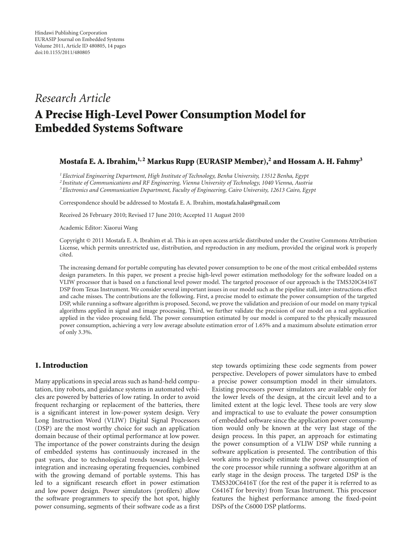# *Research Article*

# **A Precise High-Level Power Consumption Model for Embedded Systems Software**

# Mostafa E. A. Ibrahim,<sup>1,2</sup> Markus Rupp (EURASIP Member),<sup>2</sup> and Hossam A. H. Fahmy<sup>3</sup>

*1Electrical Engineering Department, High Institute of Technology, Benha University, 13512 Benha, Egypt*

*<sup>2</sup> Institute of Communications and RF Engineering, Vienna University of Technology, 1040 Vienna, Austria*

*3Electronics and Communication Department, Faculty of Engineering, Cairo University, 12613 Cairo, Egypt*

Correspondence should be addressed to Mostafa E. A. Ibrahim, mostafa.halas@gmail.com

Received 26 February 2010; Revised 17 June 2010; Accepted 11 August 2010

Academic Editor: Xiaorui Wang

Copyright © 2011 Mostafa E. A. Ibrahim et al. This is an open access article distributed under the Creative Commons Attribution License, which permits unrestricted use, distribution, and reproduction in any medium, provided the original work is properly cited.

The increasing demand for portable computing has elevated power consumption to be one of the most critical embedded systems design parameters. In this paper, we present a precise high-level power estimation methodology for the software loaded on a VLIW processor that is based on a functional level power model. The targeted processor of our approach is the TMS320C6416T DSP from Texas Instrument. We consider several important issues in our model such as the pipeline stall, inter-instructions effect and cache misses. The contributions are the following. First, a precise model to estimate the power consumption of the targeted DSP, while running a software algorithm is proposed. Second, we prove the validation and precision of our model on many typical algorithms applied in signal and image processing. Third, we further validate the precision of our model on a real application applied in the video processing field. The power consumption estimated by our model is compared to the physically measured power consumption, achieving a very low average absolute estimation error of 1.65% and a maximum absolute estimation error of only 3.3%.

### **1. Introduction**

Many applications in special areas such as hand-held computation, tiny robots, and guidance systems in automated vehicles are powered by batteries of low rating. In order to avoid frequent recharging or replacement of the batteries, there is a significant interest in low-power system design. Very Long Instruction Word (VLIW) Digital Signal Processors (DSP) are the most worthy choice for such an application domain because of their optimal performance at low power. The importance of the power constraints during the design of embedded systems has continuously increased in the past years, due to technological trends toward high-level integration and increasing operating frequencies, combined with the growing demand of portable systems. This has led to a significant research effort in power estimation and low power design. Power simulators (profilers) allow the software programmers to specify the hot spot, highly power consuming, segments of their software code as a first

step towards optimizing these code segments from power perspective. Developers of power simulators have to embed a precise power consumption model in their simulators. Existing processors power simulators are available only for the lower levels of the design, at the circuit level and to a limited extent at the logic level. These tools are very slow and impractical to use to evaluate the power consumption of embedded software since the application power consumption would only be known at the very last stage of the design process. In this paper, an approach for estimating the power consumption of a VLIW DSP while running a software application is presented. The contribution of this work aims to precisely estimate the power consumption of the core processor while running a software algorithm at an early stage in the design process. The targeted DSP is the TMS320C6416T (for the rest of the paper it is referred to as C6416T for brevity) from Texas Instrument. This processor features the highest performance among the fixed-point DSPs of the C6000 DSP platforms.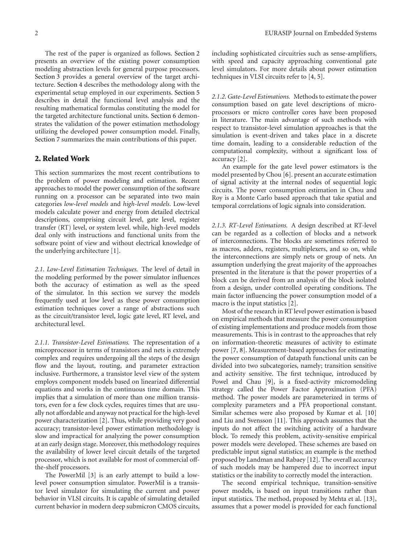The rest of the paper is organized as follows. Section 2 presents an overview of the existing power consumption modeling abstraction levels for general purpose processors. Section 3 provides a general overview of the target architecture. Section 4 describes the methodology along with the experimental setup employed in our experiments. Section 5 describes in detail the functional level analysis and the resulting mathematical formulas constituting the model for the targeted architecture functional units. Section 6 demonstrates the validation of the power estimation methodology utilizing the developed power consumption model. Finally, Section 7 summarizes the main contributions of this paper.

# **2. Related Work**

This section summarizes the most recent contributions to the problem of power modeling and estimation. Recent approaches to model the power consumption of the software running on a processor can be separated into two main categories *low-level models* and *high-level models*. Low-level models calculate power and energy from detailed electrical descriptions, comprising circuit level, gate level, register transfer (RT) level, or system level. while, high-level models deal only with instructions and functional units from the software point of view and without electrical knowledge of the underlying architecture [1].

*2.1. Low-Level Estimation Techniques.* The level of detail in the modeling performed by the power simulator influences both the accuracy of estimation as well as the speed of the simulator. In this section we survey the models frequently used at low level as these power consumption estimation techniques cover a range of abstractions such as the circuit/transistor level, logic gate level, RT level, and architectural level.

*2.1.1. Transistor-Level Estimations.* The representation of a microprocessor in terms of transistors and nets is extremely complex and requires undergoing all the steps of the design flow and the layout, routing, and parameter extraction inclusive. Furthermore, a transistor level view of the system employs component models based on linearized differential equations and works in the continuous time domain. This implies that a simulation of more than one million transistors, even for a few clock cycles, requires times that are usually not affordable and anyway not practical for the high-level power characterization [2]. Thus, while providing very good accuracy; transistor-level power estimation methodology is slow and impractical for analyzing the power consumption at an early design stage. Moreover, this methodology requires the availability of lower level circuit details of the targeted processor, which is not available for most of commercial offthe-shelf processors.

The PowerMil [3] is an early attempt to build a lowlevel power consumption simulator. PowerMil is a transistor level simulator for simulating the current and power behavior in VLSI circuits. It is capable of simulating detailed current behavior in modern deep submicron CMOS circuits,

including sophisticated circuitries such as sense-amplifiers, with speed and capacity approaching conventional gate level simulators. For more details about power estimation techniques in VLSI circuits refer to [4, 5].

*2.1.2. Gate-Level Estimations.* Methods to estimate the power consumption based on gate level descriptions of microprocessors or micro controller cores have been proposed in literature. The main advantage of such methods with respect to transistor-level simulation approaches is that the simulation is event-driven and takes place in a discrete time domain, leading to a considerable reduction of the computational complexity, without a significant loss of accuracy [2].

An example for the gate level power estimators is the model presented by Chou [6]. present an accurate estimation of signal activity at the internal nodes of sequential logic circuits. The power consumption estimation in Chou and Roy is a Monte Carlo based approach that take spatial and temporal correlations of logic signals into consideration.

*2.1.3. RT-Level Estimations.* A design described at RT-level can be regarded as a collection of blocks and a network of interconnections. The blocks are sometimes referred to as macros, adders, registers, multiplexers, and so on, while the interconnections are simply nets or group of nets. An assumption underlying the great majority of the approaches presented in the literature is that the power properties of a block can be derived from an analysis of the block isolated from a design, under controlled operating conditions. The main factor influencing the power consumption model of a macro is the input statistics [2].

Most of the research in RT level power estimation is based on empirical methods that measure the power consumption of existing implementations and produce models from those measurements. This is in contrast to the approaches that rely on information-theoretic measures of activity to estimate power [7, 8]. Measurement-based approaches for estimating the power consumption of datapath functional units can be divided into two subcategories, namely; transition sensitive and activity sensitive. The first technique, introduced by Powel and Chau [9], is a fixed-activity micromodeling strategy called the Power Factor Approximation (PFA) method. The power models are parameterized in terms of complexity parameters and a PFA proportional constant. Similar schemes were also proposed by Kumar et al. [10] and Liu and Svensson [11]. This approach assumes that the inputs do not affect the switching activity of a hardware block. To remedy this problem, activity-sensitive empirical power models were developed. These schemes are based on predictable input signal statistics; an example is the method proposed by Landman and Rabaey [12]. The overall accuracy of such models may be hampered due to incorrect input statistics or the inability to correctly model the interaction.

The second empirical technique, transition-sensitive power models, is based on input transitions rather than input statistics. The method, proposed by Mehta et al. [13], assumes that a power model is provided for each functional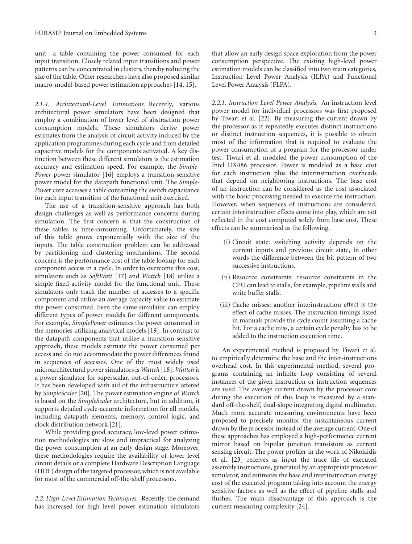unit—a table containing the power consumed for each input transition. Closely related input transitions and power patterns can be concentrated in clusters, thereby reducing the size of the table. Other researchers have also proposed similar macro-model-based power estimation approaches [14, 15].

*2.1.4. Architectural-Level Estimations.* Recently, various architectural power simulators have been designed that employ a combination of lower level of abstraction power consumption models. These simulators derive power estimates from the analysis of circuit activity induced by the application programmes during each cycle and from detailed capacitive models for the components activated. A key distinction between these different simulators is the estimation accuracy and estimation speed. For example, the *Simple-Power* power simulator [16] employs a transition-sensitive power model for the datapath functional unit. The *Simple-Power* core accesses a table containing the switch capacitance for each input transition of the functional unit exercised.

The use of a transition-sensitive approach has both design challenges as well as performance concerns during simulation. The first concern is that the construction of these tables is time-consuming. Unfortunately, the size of this table grows exponentially with the size of the inputs. The table construction problem can be addressed by partitioning and clustering mechanisms. The second concern is the performance cost of the table lookup for each component access in a cycle. In order to overcome this cost, simulators such as *SoftWatt* [17] and *Wattch* [18] utilize a simple fixed-activity model for the functional unit. These simulators only track the number of accesses to a specific component and utilize an average capacity value to estimate the power consumed. Even the same simulator can employ different types of power models for different components. For example, *SimplePower* estimates the power consumed in the memories utilizing analytical models [19]. In contrast to the datapath components that utilize a transition-sensitive approach, these models estimate the power consumed per access and do not accommodate the power differences found in sequences of accesses. One of the most widely used microarchitectural power simulators is *Wattch* [18]. *Wattch* is a power simulator for superscalar, out-of-order, processors. It has been developed with aid of the infrastructure offered by *SimpleScaler* [20]. The power estimation engine of *Wattch* is based on the *SimpleScaler* architecture, but in addition, it supports detailed cycle-accurate information for all models, including datapath elements, memory, control logic, and clock distribution network [21].

While providing good accuracy, low-level power estimation methodologies are slow and impractical for analyzing the power consumption at an early design stage. Moreover, these methodologies require the availability of lower level circuit details or a complete Hardware Description Language (HDL) design of the targeted processor, which is not available for most of the commercial off-the-shelf processors.

*2.2. High-Level Estimation Techniques.* Recently, the demand has increased for high level power estimation simulators

that allow an early design space exploration from the power consumption perspective. The existing high-level power estimation models can be classified into two main categories, Instruction Level Power Analysis (ILPA) and Functional Level Power Analysis (FLPA).

*2.2.1. Instruction Level Power Analysis.* An instruction level power model for individual processors was first proposed by Tiwari et al. [22]. By measuring the current drawn by the processor as it repeatedly executes distinct instructions or distinct instruction sequences, it is possible to obtain most of the information that is required to evaluate the power consumption of a program for the processor under test. Tiwari et al. modeled the power consumption of the Intel DX486 processor. Power is modeled as a base cost for each instruction plus the interinstruction overheads that depend on neighboring instructions. The base cost of an instruction can be considered as the cost associated with the basic processing needed to execute the instruction. However, when sequences of instructions are considered, certain interinstruction effects come into play, which are not reflected in the cost computed solely from base cost. These effects can be summarized as the following.

- (i) Circuit state: switching activity depends on the current inputs and previous circuit state, In other words the difference between the bit pattern of two successive instructions.
- (ii) Resource constraints: resource constraints in the CPU can lead to stalls, for example, pipeline stalls and write buffer stalls.
- (iii) Cache misses: another interinstruction effect is the effect of cache misses. The instruction timings listed in manuals provide the cycle count assuming a cache hit. For a cache miss, a certain cycle penalty has to be added to the instruction execution time.

An experimental method is proposed by Tiwari et al. to empirically determine the base and the inter-instructions overhead cost. In this experimental method, several programs containing an infinite loop consisting of several instances of the given instruction or instruction sequences are used. The average current drawn by the processor core during the execution of this loop is measured by a standard off-the-shelf, dual-slope integrating digital multimeter. Much more accurate measuring environments have been proposed to precisely monitor the instantaneous current drawn by the processor instead of the average current. One of these approaches has employed a high-performance current mirror based on bipolar junction transistors as current sensing circuit. The power profiler in the work of Nikolaidis et al. [23] receives as input the trace file of executed assembly instructions, generated by an appropriate processor simulator, and estimates the base and interinstruction energy cost of the executed program taking into account the energy sensitive factors as well as the effect of pipeline stalls and flushes. The main disadvantage of this approach is the current measuring complexity [24].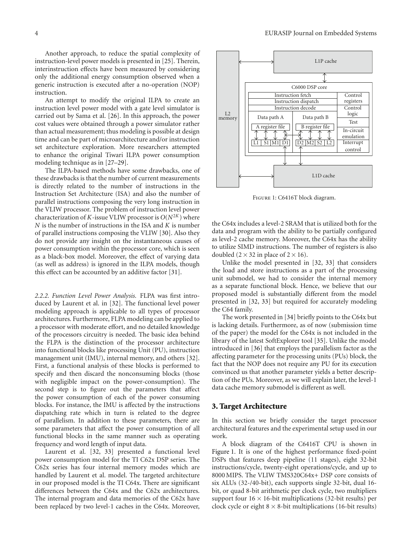Another approach, to reduce the spatial complexity of instruction-level power models is presented in [25]. Therein, interinstruction effects have been measured by considering only the additional energy consumption observed when a generic instruction is executed after a no-operation (NOP) instruction.

An attempt to modify the original ILPA to create an instruction level power model with a gate level simulator is carried out by Sama et al. [26]. In this approach, the power cost values were obtained through a power simulator rather than actual measurement; thus modeling is possible at design time and can be part of microarchitecture and/or instruction set architecture exploration. More researchers attempted to enhance the original Tiwari ILPA power consumption modeling technique as in [27–29].

The ILPA-based methods have some drawbacks, one of these drawbacks is that the number of current measurements is directly related to the number of instructions in the Instruction Set Architecture (ISA) and also the number of parallel instructions composing the very long instruction in the VLIW processor. The problem of instruction level power characterization of *K*-issue VLIW processor is  $O(N^{2K})$  where *N* is the number of instructions in the ISA and *K* is number of parallel instructions composing the VLIW [30]. Also they do not provide any insight on the instantaneous causes of power consumption within the processor core, which is seen as a black-box model. Moreover, the effect of varying data (as well as address) is ignored in the ILPA models, though this effect can be accounted by an additive factor [31].

*2.2.2. Function Level Power Analysis.* FLPA was first introduced by Laurent et al. in [32]. The functional level power modeling approach is applicable to all types of processor architectures. Furthermore, FLPA modeling can be applied to a processor with moderate effort, and no detailed knowledge of the processors circuitry is needed. The basic idea behind the FLPA is the distinction of the processor architecture into functional blocks like processing Unit (PU), instruction management unit (IMU), internal memory, and others [32]. First, a functional analysis of these blocks is performed to specify and then discard the nonconsuming blocks (those with negligible impact on the power-consumption). The second step is to figure out the parameters that affect the power consumption of each of the power consuming blocks. For instance, the IMU is affected by the instructions dispatching rate which in turn is related to the degree of parallelism. In addition to these parameters, there are some parameters that affect the power consumption of all functional blocks in the same manner such as operating frequency and word length of input data.

Laurent et al. [32, 33] presented a functional level power consumption model for the TI C62x DSP series. The C62x series has four internal memory modes which are handled by Laurent et al. model. The targeted architecture in our proposed model is the TI C64x. There are significant differences between the C64x and the C62x architectures. The internal program and data memories of the C62x have been replaced by two level-1 caches in the C64x. Moreover,



Figure 1: C6416T block diagram.

the C64x includes a level-2 SRAM that is utilized both for the data and program with the ability to be partially configured as level-2 cache memory. Moreover, the C64x has the ability to utilize SIMD instructions. The number of registers is also doubled  $(2 \times 32 \text{ in place of } 2 \times 16)$ .

Unlike the model presented in [32, 33] that considers the load and store instructions as a part of the processing unit submodel, we had to consider the internal memory as a separate functional block. Hence, we believe that our proposed model is substantially different from the model presented in [32, 33] but required for accurately modeling the C64 family.

The work presented in [34] briefly points to the C64x but is lacking details. Furthermore, as of now (submission time of the paper) the model for the C64x is not included in the library of the latest SoftExplorer tool [35]. Unlike the model introduced in [36] that employs the parallelism factor as the affecting parameter for the processing units (PUs) block, the fact that the NOP does not require any PU for its execution convinced us that another parameter yields a better description of the PUs. Moreover, as we will explain later, the level-1 data cache memory submodel is different as well.

#### **3. Target Architecture**

In this section we briefly consider the target processor architectural features and the experimental setup used in our work.

A block diagram of the C6416T CPU is shown in Figure 1. It is one of the highest performance fixed-point DSPs that features deep pipeline (11 stages), eight 32-bit instructions/cycle, twenty-eight operations/cycle, and up to 8000 MIPS. The VLIW TMS320C64x+ DSP core consists of six ALUs (32-/40-bit), each supports single 32-bit, dual 16 bit, or quad 8-bit arithmetic per clock cycle, two multipliers support four  $16 \times 16$ -bit multiplications (32-bit results) per clock cycle or eight  $8 \times 8$ -bit multiplications (16-bit results)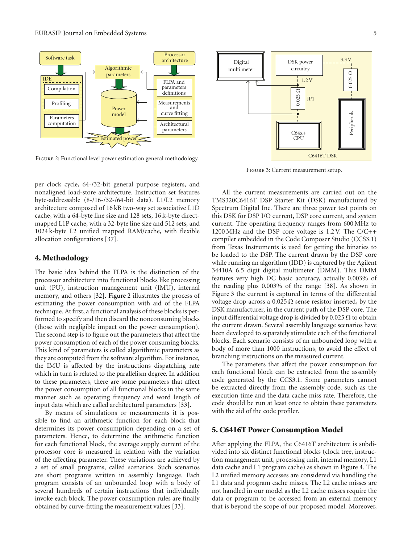

Figure 2: Functional level power estimation general methodology.

per clock cycle, 64-/32-bit general purpose registers, and nonaligned load-store architecture. Instruction set features byte-addressable (8-/16-/32-/64-bit data). L1/L2 memory architecture composed of 16 kB two-way set associative L1D cache, with a 64-byte line size and 128 sets, 16 k-byte directmapped L1P cache, with a 32-byte line size and 512 sets, and 1024 k-byte L2 unified mapped RAM/cache, with flexible allocation configurations [37].

#### **4. Methodology**

The basic idea behind the FLPA is the distinction of the processor architecture into functional blocks like processing unit (PU), instruction management unit (IMU), internal memory, and others [32]. Figure 2 illustrates the process of estimating the power consumption with aid of the FLPA technique. At first, a functional analysis of these blocks is performed to specify and then discard the nonconsuming blocks (those with negligible impact on the power consumption). The second step is to figure out the parameters that affect the power consumption of each of the power consuming blocks. This kind of parameters is called algorithmic parameters as they are computed from the software algorithm. For instance, the IMU is affected by the instructions dispatching rate which in turn is related to the parallelism degree. In addition to these parameters, there are some parameters that affect the power consumption of all functional blocks in the same manner such as operating frequency and word length of input data which are called architectural parameters [33].

By means of simulations or measurements it is possible to find an arithmetic function for each block that determines its power consumption depending on a set of parameters. Hence, to determine the arithmetic function for each functional block, the average supply current of the processor core is measured in relation with the variation of the affecting parameter. These variations are achieved by a set of small programs, called scenarios. Such scenarios are short programs written in assembly language. Each program consists of an unbounded loop with a body of several hundreds of certain instructions that individually invoke each block. The power consumption rules are finally obtained by curve-fitting the measurement values [33].



Figure 3: Current measurement setup.

All the current measurements are carried out on the TMS320C6416T DSP Starter Kit (DSK) manufactured by Spectrum Digital Inc. There are three power test points on this DSK for DSP I/O current, DSP core current, and system current. The operating frequency ranges from 600 MHz to 1200 MHz and the DSP core voltage is 1.2 V. The C/C++ compiler embedded in the Code Composer Studio (CCS3.1) from Texas Instruments is used for getting the binaries to be loaded to the DSP. The current drawn by the DSP core while running an algorithm (IDD) is captured by the Agilent 34410A 6.5 digit digital multimeter (DMM). This DMM features very high DC basic accuracy, actually 0*.*003% of the reading plus 0*.*003% of the range [38]. As shown in Figure 3 the current is captured in terms of the differential voltage drop across a 0.025 Ω sense resistor inserted, by the DSK manufacturer, in the current path of the DSP core. The input differential voltage drop is divided by 0.025  $\Omega$  to obtain the current drawn. Several assembly language scenarios have been developed to separately stimulate each of the functional blocks. Each scenario consists of an unbounded loop with a body of more than 1000 instructions, to avoid the effect of branching instructions on the measured current.

The parameters that affect the power consumption for each functional block can be extracted from the assembly code generated by the CCS3.1. Some parameters cannot be extracted directly from the assembly code, such as the execution time and the data cache miss rate. Therefore, the code should be run at least once to obtain these parameters with the aid of the code profiler.

#### **5. C6416T Power Consumption Model**

After applying the FLPA, the C6416T architecture is subdivided into six distinct functional blocks (clock tree, instruction management unit, processing unit, internal memory, L1 data cache and L1 program cache) as shown in Figure 4. The L2 unified memory accesses are considered via handling the L1 data and program cache misses. The L2 cache misses are not handled in our model as the L2 cache misses require the data or program to be accessed from an external memory that is beyond the scope of our proposed model. Moreover,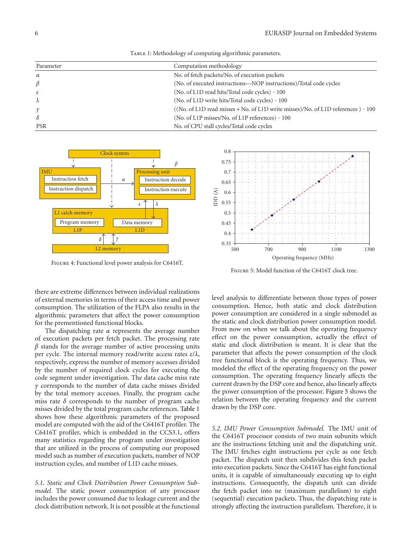TABLE 1: Methodology of computing algorithmic parameters.

| Parameter     | Computation methodology                                                                  |
|---------------|------------------------------------------------------------------------------------------|
| $\alpha$      | No. of fetch packets/No. of execution packets                                            |
| $\beta$       | (No. of executed instructions—NOP instructions)/Total code cycles                        |
| $\varepsilon$ | (No. of L1D read hits/Total code cycles) $\cdot$ 100                                     |
| $\lambda$     | (No. of L1D write hits/Total code cycles) $\cdot$ 100                                    |
| $\mathcal V$  | ((No. of L1D read misses $+$ No. of L1D write misses)/No. of L1D references) $\cdot$ 100 |
| $\delta$      | (No. of L1P misses/No. of L1P references) $\cdot$ 100                                    |
| <b>PSR</b>    | No. of CPU stall cycles/Total code cycles                                                |



Figure 4: Functional level power analysis for C6416T.

there are extreme differences between individual realizations of external memories in terms of their access time and power consumption. The utilization of the FLPA also results in the algorithmic parameters that affect the power consumption for the prementioned functional blocks.

The dispatching rate *α* represents the average number of execution packets per fetch packet. The processing rate *β* stands for the average number of active processing units per cycle. The internal memory read/write access rates *ε*/*λ*, respectively, express the number of memory accesses divided by the number of required clock cycles for executing the code segment under investigation. The data cache miss rate *γ* corresponds to the number of data cache misses divided by the total memory accesses. Finally, the program cache miss rate  $\delta$  corresponds to the number of program cache misses divided by the total program cache references. Table 1 shows how these algorithmic parameters of the proposed model are computed with the aid of the C6416T profiler. The C6416T profiler, which is embedded in the CCS3.1, offers many statistics regarding the program under investigation that are utilized in the process of computing our proposed model such as number of execution packets, number of NOP instruction cycles, and number of L1D cache misses.

*5.1. Static and Clock Distribution Power Consumption Submodel.* The static power consumption of any processor includes the power consumed due to leakage current and the clock distribution network. It is not possible at the functional



Figure 5: Model function of the C6416T clock tree.

level analysis to differentiate between those types of power consumption. Hence, both static and clock distribution power consumption are considered in a single submodel as the static and clock distribution power consumption model. From now on when we talk about the operating frequency effect on the power consumption, actually the effect of static and clock distribution is meant. It is clear that the parameter that affects the power consumption of the clock tree functional block is the operating frequency. Thus, we modeled the effect of the operating frequency on the power consumption. The operating frequency linearly affects the current drawn by the DSP core and hence, also linearly affects the power consumption of the processor. Figure 5 shows the relation between the operating frequency and the current drawn by the DSP core.

*5.2. IMU Power Consumption Submodel.* The IMU unit of the C6416T processor consists of two main subunits which are the instructions fetching unit and the dispatching unit. The IMU fetches eight instructions per cycle as one fetch packet. The dispatch unit then subdivides this fetch packet into execution packets. Since the C6416T has eight functional units, it is capable of simultaneously executing up to eight instructions. Consequently, the dispatch unit can divide the fetch packet into ne (maximum parallelism) to eight (sequential) execution packets. Thus, the dispatching rate is strongly affecting the instruction parallelism. Therefore, it is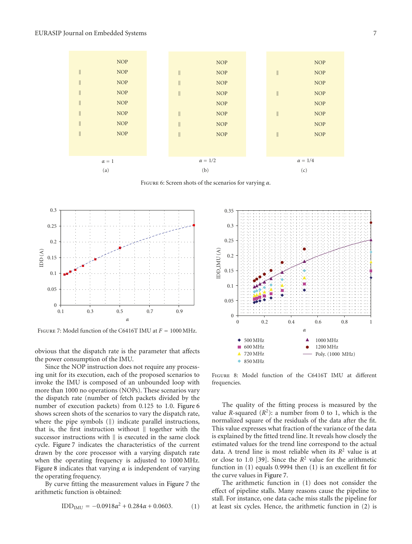

Figure 6: Screen shots of the scenarios for varying *α*.



Figure 7: Model function of the C6416T IMU at *F* = 1000 MHz.

obvious that the dispatch rate is the parameter that affects the power consumption of the IMU.

Since the NOP instruction does not require any processing unit for its execution, each of the proposed scenarios to invoke the IMU is composed of an unbounded loop with more than 1000 no operations (NOPs). These scenarios vary the dispatch rate (number of fetch packets divided by the number of execution packets) from 0*.*125 to 1*.*0. Figure 6 shows screen shots of the scenarios to vary the dispatch rate, where the pipe symbols  $(\parallel)$  indicate parallel instructions, that is, the first instruction without  $\parallel$  together with the successor instructions with  $\parallel$  is executed in the same clock cycle. Figure 7 indicates the characteristics of the current drawn by the core processor with a varying dispatch rate when the operating frequency is adjusted to 1000 MHz. Figure 8 indicates that varying *α* is independent of varying the operating frequency.

By curve fitting the measurement values in Figure 7 the arithmetic function is obtained:

$$
IDDIMU = -0.0918\alpha^{2} + 0.284\alpha + 0.0603.
$$
 (1)



Figure 8: Model function of the C6416T IMU at different frequencies.

The quality of the fitting process is measured by the value *R*-squared  $(R^2)$ : a number from 0 to 1, which is the normalized square of the residuals of the data after the fit. This value expresses what fraction of the variance of the data is explained by the fitted trend line. It reveals how closely the estimated values for the trend line correspond to the actual data. A trend line is most reliable when its *R*<sup>2</sup> value is at or close to 1.0 [39]. Since the  $R^2$  value for the arithmetic function in (1) equals 0*.*9994 then (1) is an excellent fit for the curve values in Figure 7.

The arithmetic function in (1) does not consider the effect of pipeline stalls. Many reasons cause the pipeline to stall. For instance, one data cache miss stalls the pipeline for at least six cycles. Hence, the arithmetic function in (2) is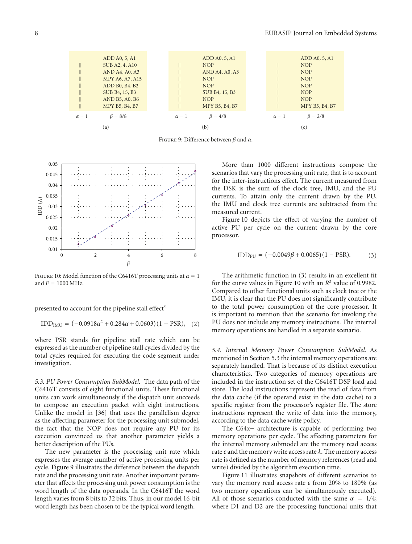

Figure 9: Difference between *β* and *α*.



FIGURE 10: Model function of the C6416T processing units at  $\alpha = 1$ and  $F = 1000$  MHz.

presented to account for the pipeline stall effect"

$$
IDD_{IMU} = (-0.0918\alpha^2 + 0.284\alpha + 0.0603)(1 - PSR), (2)
$$

where PSR stands for pipeline stall rate which can be expressed as the number of pipeline stall cycles divided by the total cycles required for executing the code segment under investigation.

*5.3. PU Power Consumption SubModel.* The data path of the C6416T consists of eight functional units. These functional units can work simultaneously if the dispatch unit succeeds to compose an execution packet with eight instructions. Unlike the model in [36] that uses the parallelism degree as the affecting parameter for the processing unit submodel, the fact that the NOP does not require any PU for its execution convinced us that another parameter yields a better description of the PUs.

The new parameter is the processing unit rate which expresses the average number of active processing units per cycle. Figure 9 illustrates the difference between the dispatch rate and the processing unit rate. Another important parameter that affects the processing unit power consumption is the word length of the data operands. In the C6416T the word length varies from 8 bits to 32 bits. Thus, in our model 16-bit word length has been chosen to be the typical word length.

More than 1000 different instructions compose the scenarios that vary the processing unit rate, that is to account for the inter-instructions effect. The current measured from the DSK is the sum of the clock tree, IMU, and the PU currents. To attain only the current drawn by the PU, the IMU and clock tree currents are subtracted from the measured current.

Figure 10 depicts the effect of varying the number of active PU per cycle on the current drawn by the core processor.

$$
IDD_{PU} = (-0.0049\beta + 0.0065)(1 - PSR). \tag{3}
$$

The arithmetic function in (3) results in an excellent fit for the curve values in Figure 10 with an *R*<sup>2</sup> value of 0*.*9982. Compared to other functional units such as clock tree or the IMU, it is clear that the PU does not significantly contribute to the total power consumption of the core processor. It is important to mention that the scenario for invoking the PU does not include any memory instructions. The internal memory operations are handled in a separate scenario.

*5.4. Internal Memory Power Consumption SubModel.* As mentioned in Section 5.3 the internal memory operations are separately handled. That is because of its distinct execution characteristics. Two categories of memory operations are included in the instruction set of the C6416T DSP load and store. The load instructions represent the read of data from the data cache (if the operand exist in the data cache) to a specific register from the processor's register file. The store instructions represent the write of data into the memory, according to the data cache write policy.

The C64x+ architecture is capable of performing two memory operations per cycle. The affecting parameters for the internal memory submodel are the memory read access rate *ε* and the memory write access rate *λ*. The memory access rate is defined as the number of memory references (read and write) divided by the algorithm execution time.

Figure 11 illustrates snapshots of different scenarios to vary the memory read access rate *ε* from 20% to 180% (as two memory operations can be simultaneously executed). All of those scenarios conducted with the same  $\alpha = 1/4$ ; where D1 and D2 are the processing functional units that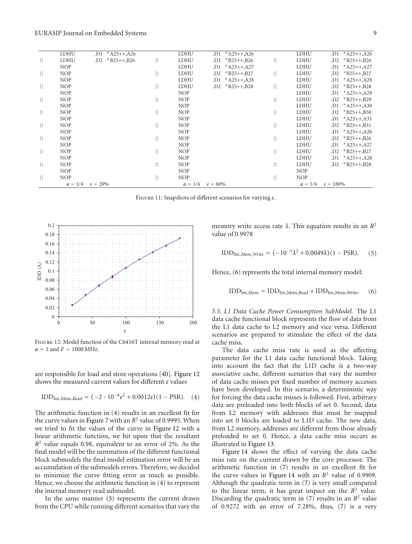|              | <b>LDHU</b>    | .D1               | $*$ A25++,A26 |              | <b>LDHU</b>    | .D1               | $*$ A25++,A26 |    | <b>LDHU</b>    | .D1                | $*$ A25++,A26 |
|--------------|----------------|-------------------|---------------|--------------|----------------|-------------------|---------------|----|----------------|--------------------|---------------|
| $\mathbb{H}$ | <b>LDHU</b>    | .D2               | $*B25++, B26$ |              | <b>LDHU</b>    | .D <sub>2</sub>   | $*B25++, B26$ | Ш  | <b>LDHU</b>    | .D <sub>2</sub>    | $*B25++, B26$ |
|              | <b>NOP</b>     |                   |               |              | <b>LDHU</b>    | .D1               | $*$ A25++,A27 |    | <b>LDHU</b>    | .D1                | $*$ A25++,A27 |
| $\mathbb{H}$ | NOP            |                   |               |              | <b>LDHU</b>    | .D <sub>2</sub>   | $*B25++, B27$ | Π  | <b>LDHU</b>    | .D2                | $*B25++, B27$ |
|              | <b>NOP</b>     |                   |               |              | <b>LDHU</b>    | .D1               | $*$ A25++,A28 |    | <b>LDHU</b>    | .D1                | $*$ A25++,A28 |
| Ш            | <b>NOP</b>     |                   |               | Ш            | <b>LDHU</b>    | .D <sub>2</sub>   | $*B25++, B28$ | Π. | <b>LDHU</b>    | .D2                | $*B25++, B28$ |
|              | <b>NOP</b>     |                   |               |              | <b>NOP</b>     |                   |               |    | <b>LDHU</b>    | .D1                | $*$ A25++,A29 |
| $\mathbb{H}$ | <b>NOP</b>     |                   |               |              | <b>NOP</b>     |                   |               |    | <b>LDHU</b>    | .D <sub>2</sub>    | $*B25++, B29$ |
|              | <b>NOP</b>     |                   |               |              | <b>NOP</b>     |                   |               |    | <b>LDHU</b>    | .D1                | $*$ A25++,A30 |
| Ш            | <b>NOP</b>     |                   |               | Ш            | <b>NOP</b>     |                   |               | Ш  | <b>LDHU</b>    | .D <sub>2</sub>    | $*B25++, B30$ |
|              | <b>NOP</b>     |                   |               |              | <b>NOP</b>     |                   |               |    | <b>LDHU</b>    | .D1                | $*$ A25++,A31 |
| $\mathbb{H}$ | NOP            |                   |               | Ш            | <b>NOP</b>     |                   |               |    | <b>LDHU</b>    | .D <sub>2</sub>    | $*B25++, B31$ |
|              | <b>NOP</b>     |                   |               |              | <b>NOP</b>     |                   |               |    | <b>LDHU</b>    | .D1                | $*$ A25++,A26 |
| Ш            | <b>NOP</b>     |                   |               | $\mathbb{I}$ | <b>NOP</b>     |                   |               | H. | <b>LDHU</b>    | .D <sub>2</sub>    | $*B25++, B26$ |
|              | <b>NOP</b>     |                   |               |              | <b>NOP</b>     |                   |               |    | <b>LDHU</b>    | .D1                | $*$ A25++,A27 |
| Ш            | NOP            |                   |               | Ш            | <b>NOP</b>     |                   |               |    | <b>LDHU</b>    | .D2                | $*B25++, B27$ |
|              | <b>NOP</b>     |                   |               |              | <b>NOP</b>     |                   |               |    | <b>LDHU</b>    | .D1                | $*$ A25++,A28 |
| Ш            | <b>NOP</b>     |                   |               | Ш            | <b>NOP</b>     |                   |               |    | <b>LDHU</b>    | .D2                | $*B25++, B28$ |
|              | <b>NOP</b>     |                   |               |              | <b>NOP</b>     |                   |               |    | NOP            |                    |               |
| Ш            | <b>NOP</b>     |                   |               |              | <b>NOP</b>     |                   |               |    | <b>NOP</b>     |                    |               |
|              | $\alpha = 1/4$ | $\epsilon = 20\%$ |               |              | $\alpha = 1/4$ | $\epsilon = 60\%$ |               |    | $\alpha = 1/4$ | $\epsilon = 180\%$ |               |

Figure 11: Snapshots of different scenarios for varying *ε*.



Figure 12: Model function of the C6416T internal memory read at  $\alpha = 1$  and  $F = 1000$  MHz.

are responsible for load and store operations [40]. Figure 12 shows the measured current values for different *ε* values

$$
IDD_{Int\_Mem\_Read} = (-2 \cdot 10^{-6} \varepsilon^2 + 0.0012\varepsilon)(1 - PSR). \quad (4)
$$

The arithmetic function in (4) results in an excellent fit for the curve values in Figure 7 with an  $R^2$  value of 0.9995. When we tried to fit the values of the curve in Figure 12 with a linear arithmetic function, we hit upon that the resultant *R*<sup>2</sup> value equals 0*.*98, equivalent to an error of 2%. As the final model will be the summation of the different functional block submodels the final model estimation error will be an accumulation of the submodels errors. Therefore, we decided to minimize the curve fitting error as much as possible. Hence, we choose the arithmetic function in (4) to represent the internal memory read submodel.

In the same manner (5) represents the current drawn from the CPU while running different scenarios that vary the memory write access rate *λ*. This equation results in an *R*<sup>2</sup> value of 0*.*9978

$$
IDD_{Int.Mem.Write} = (-10^{-5} \lambda^2 + 0.0049 \lambda)(1 - PSR). \tag{5}
$$

Hence, (6) represents the total internal memory model:

$$
IDD_{Int\_Mem} = IDD_{Int\_Mem\_Read} + IDD_{Int\_Mem\_Write}. \qquad (6)
$$

*5.5. L1 Data Cache Power Consumption SubModel.* The L1 data cache functional block represents the flow of data from the L1 data cache to L2 memory and vice versa. Different scenarios are prepared to stimulate the effect of the data cache miss.

The data cache miss rate is used as the affecting parameter for the L1 data cache functional block. Taking into account the fact that the L1D cache is a two-way associative cache, different scenarios that vary the number of data cache misses per fixed number of memory accesses have been developed. In this scenario, a deterministic way for forcing the data cache misses is followed. First, arbitrary data are preloaded into both blocks of set 0. Second, data from L2 memory with addresses that must be mapped into set 0 blocks are loaded to L1D cache. The new data, from L2 memory, addresses are different from those already preloaded to set 0. Hence, a data cache miss occurs as illustrated in Figure 13.

Figure 14 shows the effect of varying the data cache miss rate on the current drawn by the core processor. The arithmetic function in (7) results in an excellent fit for the curve values in Figure 14 with an *R*<sup>2</sup> value of 0*.*9909. Although the quadratic term in (7) is very small compared to the linear term, it has great impact on the  $R^2$  value. Discarding the quadratic term in (7) results in an *R*<sup>2</sup> value of 0*.*9272 with an error of 7*.*28%, thus, (7) is a very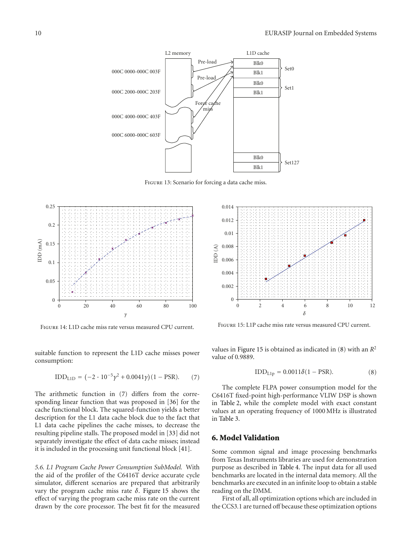

FIGURE 13: Scenario for forcing a data cache miss.



Figure 14: L1D cache miss rate versus measured CPU current.

suitable function to represent the L1D cache misses power consumption:

$$
IDDL1D = (-2 \cdot 10^{-5} \gamma^{2} + 0.0041 \gamma)(1 - PSR). \tag{7}
$$

The arithmetic function in (7) differs from the corresponding linear function that was proposed in [36] for the cache functional block. The squared-function yields a better description for the L1 data cache block due to the fact that L1 data cache pipelines the cache misses, to decrease the resulting pipeline stalls. The proposed model in [33] did not separately investigate the effect of data cache misses; instead it is included in the processing unit functional block [41].

*5.6. L1 Program Cache Power Consumption SubModel.* With the aid of the profiler of the C6416T device accurate cycle simulator, different scenarios are prepared that arbitrarily vary the program cache miss rate *δ*. Figure 15 shows the effect of varying the program cache miss rate on the current drawn by the core processor. The best fit for the measured



Figure 15: L1P cache miss rate versus measured CPU current.

values in Figure 15 is obtained as indicated in (8) with an *R*<sup>2</sup> value of 0*.*9889.

$$
IDDL1p = 0.0011\delta(1 - PSR). \tag{8}
$$

The complete FLPA power consumption model for the C6416T fixed-point high-performance VLIW DSP is shown in Table 2, while the complete model with exact constant values at an operating frequency of 1000 MHz is illustrated in Table 3.

# **6. Model Validation**

Some common signal and image processing benchmarks from Texas Instruments libraries are used for demonstration purpose as described in Table 4. The input data for all used benchmarks are located in the internal data memory. All the benchmarks are executed in an infinite loop to obtain a stable reading on the DMM.

First of all, all optimization options which are included in the CCS3*.*1 are turned off because these optimization options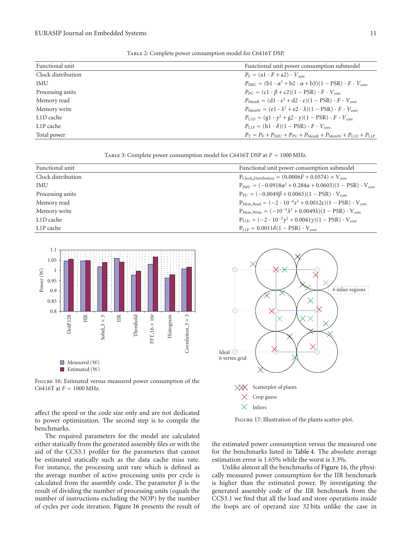#### EURASIP Journal on Embedded Systems 11

Table 2: Complete power consumption model for C6416T DSP.

| Functional unit    | Functional unit power consumption submodel                                                                   |
|--------------------|--------------------------------------------------------------------------------------------------------------|
| Clock distribution | $PE = (a1 \cdot F + a2) \cdot Vcore$                                                                         |
| <b>IMU</b>         | $P_{\text{IMU}} = (b1 \cdot \alpha^2 + b2 \cdot \alpha + b3)(1 - PSR) \cdot F \cdot V_{\text{core}}$         |
| Processing units   | $P_{\text{PI}} = (c1 \cdot \beta + c2)(1 - \text{PSR}) \cdot F \cdot V_{\text{core}}$                        |
| Memory read        | $P_{\text{Menn}} = (d1 \cdot \varepsilon^2 + d2 \cdot \varepsilon)(1 - PSR) \cdot F \cdot V_{\text{core}}$   |
| Memory write       | $P_{\text{MemW}} = (e1 \cdot \lambda^2 + e2 \cdot \lambda)(1 - PSR) \cdot F \cdot V_{\text{core}}$           |
| L1D cache          | $P_{\text{L1D}} = (g1 \cdot \gamma^2 + g2 \cdot \gamma)(1 - PSR) \cdot F \cdot V_{\text{core}}$              |
| L1P cache          | $P_{\text{L1P}} = (\text{h1} \cdot \delta)(1 - \text{PSR}) \cdot F \cdot V_{\text{core}}$                    |
| Total power        | $P_{\rm T} = P_{\rm F} + P_{\rm IMU} + P_{\rm PI} + P_{\rm MemR} + P_{\rm MemW} + P_{\rm L1D} + P_{\rm L1P}$ |

Table 3: Complete power consumption model for C6416T DSP at *F* = 1000 MHz.

| Functional unit    | Functional unit power consumption submodel                                                     |
|--------------------|------------------------------------------------------------------------------------------------|
| Clock distribution | $P_{Clock\_Distribution} = (0.0006F + 0.0574) \times V_{core}$                                 |
| <b>IMU</b>         | $P_{IMU} = (-0.0918\alpha^2 + 0.284\alpha + 0.0603)(1 - PSR) \cdot V_{core}$                   |
| Processing units   | $P_{\text{PU}} = (-0.0049\beta + 0.0065)(1 - PSR) \cdot V_{\text{core}}$                       |
| Memory read        | $P_{Mem\_Read} = (-2 \cdot 10^{-6} \varepsilon^2 + 0.0012\varepsilon)(1 - PSR) \cdot V_{core}$ |
| Memory write       | $P_{Mem\_Write} = (-10^{-5}\lambda^2 + 0.0049\lambda)(1 - PSR) \cdot V_{core}$                 |
| L1D cache          | $P_{L1D} = (-2 \cdot 10^{-5} \gamma^2 + 0.0041 \gamma)(1 - PSR) \cdot V_{core}$                |
| L1P cache          | $P_{L1P} = 0.0011 \delta(1 - PSR) \cdot V_{core}$                                              |



FIGURE 16: Estimated versus measured power consumption of the  $C6416T$  at  $F = 1000$  MHz.

affect the speed or the code size only and are not dedicated to power optimization. The second step is to compile the benchmarks.

The required parameters for the model are calculated either statically from the generated assembly files or with the aid of the CCS3*.*1 profiler for the parameters that cannot be estimated statically such as the data cache miss rate. For instance, the processing unit rate which is defined as the average number of active processing units per cycle is calculated from the assembly code. The parameter  $\beta$  is the result of dividing the number of processing units (equals the number of instructions excluding the NOP) by the number of cycles per code iteration. Figure 16 presents the result of



Figure 17: Illustration of the plants scatter-plot.

the estimated power consumption versus the measured one for the benchmarks listed in Table 4. The absolute average estimation error is 1*.*65% while the worst is 3*.*3%.

Unlike almost all the benchmarks of Figure 16, the physically measured power consumption for the IIR benchmark is higher than the estimated power. By investigating the generated assembly code of the IIR benchmark from the CCS3.1 we find that all the load and store operations inside the loops are of operand size 32 bits unlike the case in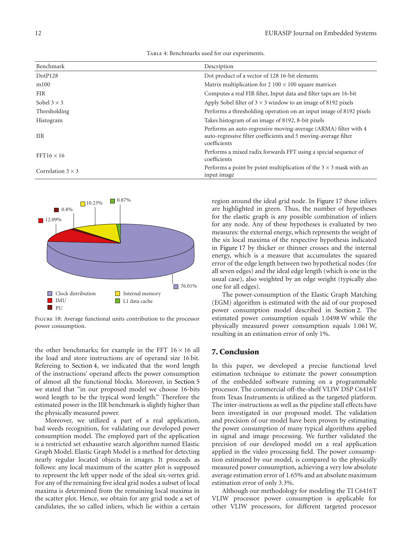TABLE 4: Benchmarks used for our experiments.

| Benchmark                | Description                                                                                                                                        |
|--------------------------|----------------------------------------------------------------------------------------------------------------------------------------------------|
| DotP128                  | Dot product of a vector of 128 16-bit elements                                                                                                     |
| m100                     | Matrix multiplication for 2 $100 \times 100$ square matrices                                                                                       |
| <b>FIR</b>               | Computes a real FIR filter, Input data and filter taps are 16-bit                                                                                  |
| Sobel $3 \times 3$       | Apply Sobel filter of $3 \times 3$ window to an image of 8192 pixels                                                                               |
| Thresholding             | Performs a thresholding operation on an input image of 8192 pixels                                                                                 |
| Histogram                | Takes histogram of an image of 8192, 8-bit pixels                                                                                                  |
| <b>IIR</b>               | Performs an auto-regressive moving-average (ARMA) filter with 4<br>auto-regressive filter coefficients and 5 moving-average filter<br>coefficients |
| $FFT16 \times 16$        | Performs a mixed radix forwards FFT using a special sequence of<br>coefficients                                                                    |
| Correlation $3 \times 3$ | Performs a point by point multiplication of the $3 \times 3$ mask with an<br>input image                                                           |



Figure 18: Average functional units contribution to the processor power consumption.

the other benchmarks; for example in the FFT  $16 \times 16$  all the load and store instructions are of operand size 16 bit. Refereing to Section 4, we indicated that the word length of the instructions' operand affects the power consumption of almost all the functional blocks. Moreover, in Section 5 we stated that "in our proposed model we choose 16-bits word length to be the typical word length." Therefore the estimated power in the IIR benchmark is slightly higher than the physically measured power.

Moreover, we utilized a part of a real application, bad weeds recognition, for validating our developed power consumption model. The employed part of the application is a restricted set exhaustive search algorithm named Elastic Graph Model. Elastic Graph Model is a method for detecting nearly regular located objects in images. It proceeds as follows: any local maximum of the scatter plot is supposed to represent the left upper node of the ideal six-vertex grid. For any of the remaining five ideal grid nodes a subset of local maxima is determined from the remaining local maxima in the scatter plot. Hence, we obtain for any grid node a set of candidates, the so called inliers, which lie within a certain

region around the ideal grid node. In Figure 17 these inliers are highlighted in green. Thus, the number of hypotheses for the elastic graph is any possible combination of inliers for any node. Any of these hypotheses is evaluated by two measures: the external energy, which represents the weight of the six local maxima of the respective hypothesis indicated in Figure 17 by thicker or thinner crosses and the internal energy, which is a measure that accumulates the squared error of the edge length between two hypothetical nodes (for all seven edges) and the ideal edge length (which is one in the usual case), also weighted by an edge weight (typically also one for all edges).

The power-consumption of the Elastic Graph Matching (EGM) algorithm is estimated with the aid of our proposed power consumption model described in Section 2. The estimated power consumption equals 1.0498 W while the physically measured power consumption equals 1.061 W, resulting in an estimation error of only 1%.

#### **7. Conclusion**

In this paper, we developed a precise functional level estimation technique to estimate the power consumption of the embedded software running on a programmable processor. The commercial off-the-shelf VLIW DSP C6416T from Texas Instruments is utilized as the targeted platform. The inter-instructions as well as the pipeline stall effects have been investigated in our proposed model. The validation and precision of our model have been proven by estimating the power consumption of many typical algorithms applied in signal and image processing. We further validated the precision of our developed model on a real application applied in the video processing field. The power consumption estimated by our model, is compared to the physically measured power consumption, achieving a very low absolute average estimation error of 1*.*65% and an absolute maximum estimation error of only 3*.*3%.

Although our methodology for modeling the TI C6416T VLIW processor power consumption is applicable for other VLIW processors, for different targeted processor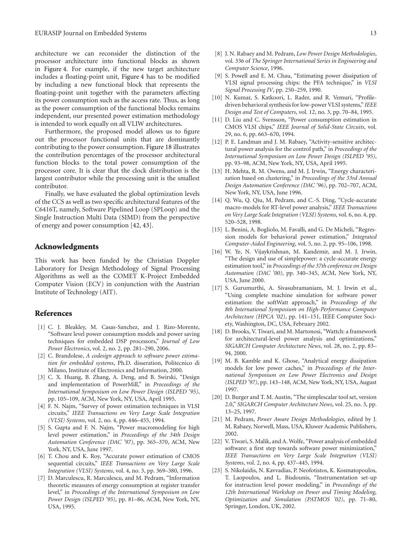architecture we can reconsider the distinction of the processor architecture into functional blocks as shown in Figure 4. For example, if the new target architecture includes a floating-point unit, Figure 4 has to be modified by including a new functional block that represents the floating-point unit together with the parameters affecting its power consumption such as the access rate. Thus, as long as the power consumption of the functional blocks remains independent, our presented power estimation methodology is intended to work equally on all VLIW architectures.

Furthermore, the proposed model allows us to figure out the processor functional units that are dominantly contributing to the power consumption. Figure 18 illustrates the contribution percentages of the processor architectural function blocks to the total power consumption of the processor core. It is clear that the clock distribution is the largest contributor while the processing unit is the smallest contributor.

Finally, we have evaluated the global optimization levels of the CCS as well as two specific architectural features of the C6416T, namely, Software Pipelined Loop (SPLoop) and the Single Instruction Multi Data (SIMD) from the perspective of energy and power consumption [42, 43].

#### **Acknowledgments**

This work has been funded by the Christian Doppler Laboratory for Design Methodology of Signal Processing Algorithms as well as the COMET K-Project Embedded Computer Vision (ECV) in conjunction with the Austrian Institute of Technology (AIT).

#### **References**

- [1] C. J. Bleakley, M. Casas-Sanchez, and J. Rizo-Morente, "Software level power consumption models and power saving techniques for embedded DSP processors," *Journal of Low Power Electronics*, vol. 2, no. 2, pp. 281–290, 2006.
- [2] C. Brandolese, *A codesign approach to software power estimation for embedded systems*, Ph.D. disseration, Politecnico di Milano, Institute of Electronics and Information, 2000.
- [3] C. X. Huang, B. Zhang, A. Deng, and B. Swirski, "Design and implementation of PowerMill," in *Proceedings of the International Symposium on Low Power Design (ISLPED '95)*, pp. 105–109, ACM, New York, NY, USA, April 1995.
- [4] F. N. Najm, "Survey of power estimation techniques in VLSI circuits," *IEEE Transactions on Very Large Scale Integration (VLSI) Systems*, vol. 2, no. 4, pp. 446–455, 1994.
- [5] S. Gupta and F. N. Najm, "Power macromodeling for high level power estimation," in *Proceedings of the 34th Design Automation Conference (DAC '97)*, pp. 365–370, ACM, New York, NY, USA, June 1997.
- [6] T. Chou and K. Roy, "Accurate power estimation of CMOS sequential circuits," *IEEE Transactions on Very Large Scale Integration (VLSI) Systems*, vol. 4, no. 3, pp. 369–380, 1996.
- [7] D. Marculescu, R. Marculescu, and M. Pedram, "Information theoretic measures of energy consumption at register transfer level," in *Proceedings of the International Symposium on Low Power Design (ISLPED '95)*, pp. 81–86, ACM, New York, NY, USA, 1995.
- [8] J. N. Rabaey and M. Pedram, *Low Power Design Methodologies*, vol. 336 of *The Springer International Series in Engineering and Computer Science*, 1996.
- [9] S. Powell and E. M. Chau, "Estimating power dissipation of VLSI signal processing chips: the PFA technique," in *VLSI Signal Processing IV*, pp. 250–259, 1990.
- [10] N. Kumar, S. Katkoori, L. Rader, and R. Vemuri, "Profiledriven behavioral synthesis for low-power VLSI systems," *IEEE Design and Test of Computers*, vol. 12, no. 3, pp. 70–84, 1995.
- [11] D. Liu and C. Svensson, "Power consumption estimation in CMOS VLSI chips," *IEEE Journal of Solid-State Circuits*, vol. 29, no. 6, pp. 663–670, 1994.
- [12] P. E. Landman and J. M. Rabaey, "Activity-sensitive architectural power analysis for the control path," in *Proceedings of the International Symposium on Low Power Design (ISLPED '95)*, pp. 93–98, ACM, New York, NY, USA, April 1995.
- [13] H. Mehta, R. M. Owens, and M. J. Irwin, "Energy characterization based on clustering," in *Proceedings of the 33rd Annual Design Automation Conference (DAC '96)*, pp. 702–707, ACM, New York, NY, USA, June 1996.
- [14] Q. Wu, Q. Qiu, M. Pedram, and C.-S. Ding, "Cycle-accurate macro-models for RT-level power analysis," *IEEE Transactions on Very Large Scale Integration (VLSI) Systems*, vol. 6, no. 4, pp. 520–528, 1998.
- [15] L. Benini, A. Bogliolo, M. Favalli, and G. De Micheli, "Regression models for behavioral power estimation," *Integrated Computer-Aided Engineering*, vol. 5, no. 2, pp. 95–106, 1998.
- [16] W. Ye, N. Vijaykrishnan, M. Kandemir, and M. J. Irwin, "The design and use of simplepower: a cycle-accurate energy estimation tool," in *Proceedings of the 37th conference on Design Automation (DAC '00)*, pp. 340–345, ACM, New York, NY, USA, June 2000.
- [17] S. Gurumurthi, A. Sivasubramaniam, M. J. Irwin et al., "Using complete machine simulation for software power estimation: the softWatt approach," in *Proceedings of the 8th International Symposium on High-Performance Computer Architecture (HPCA '02)*, pp. 141–151, IEEE Computer Society, Washington, DC, USA, February 2002.
- [18] D. Brooks, V. Tiwari, and M. Martonosi, "Wattch: a framework for architectural-level power analysis and optimizations," *SIGARCH Computer Architecture News*, vol. 28, no. 2, pp. 83– 94, 2000.
- [19] M. B. Kamble and K. Ghose, "Analytical energy dissipation models for low power caches," in *Proceedings of the International Symposium on Low Power Electronics and Design (ISLPED '97)*, pp. 143–148, ACM, New York, NY, USA, August 1997.
- [20] D. Burger and T. M. Austin, "The simplescalar tool set, version 2.0," *SIGARCH Computer Architecture News*, vol. 25, no. 3, pp. 13–25, 1997.
- [21] M. Pedram, *Power Aware Design Methodologies*, edited by J. M. Rabaey, Norwell, Mass, USA, Kluwer Academic Publishers, 2002.
- [22] V. Tiwari, S. Malik, and A. Wolfe, "Power analysis of embedded software: a first step towards software power minimization," *IEEE Transactions on Very Large Scale Integration (VLSI) Systems*, vol. 2, no. 4, pp. 437–445, 1994.
- [23] S. Nikolaidis, N. Kavvadias, P. Neofotistos, K. Kosmatopoulos, T. Laopoulos, and L. Bisdounis, "Instrumentation set-up for instruction level power modeling," in *Proceedings of the 12th International Workshop on Power and Timing Modeling, Optimization and Simulation (PATMOS '02)*, pp. 71–80, Springer, London, UK, 2002.